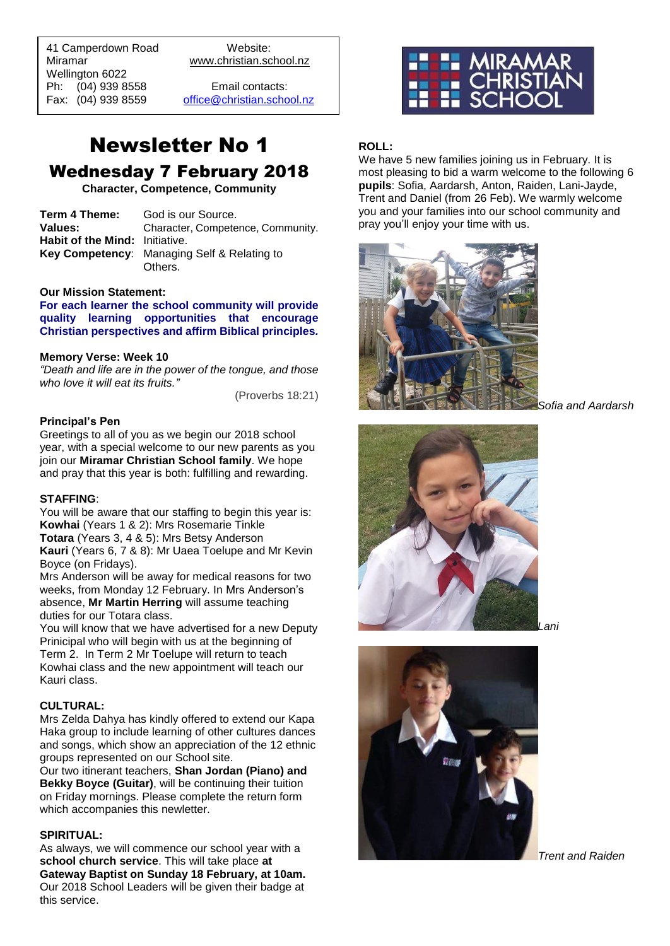41 Camperdown Road Website: Miramar www.christian.school.nz Wellington 6022 Ph: (04) 939 8558 Email contacts:

 $\overline{a}$ 

Fax: (04) 939 8559 [office@christian.school.nz](mailto:office@christian.school.nz)

# Newsletter No 1 Wednesday 7 February 2018

**Character, Competence, Community**

| Term 4 Theme:                  | God is our Source.                                     |
|--------------------------------|--------------------------------------------------------|
| <b>Values:</b>                 | Character, Competence, Community.                      |
| Habit of the Mind: Initiative. |                                                        |
|                                | Key Competency: Managing Self & Relating to<br>Others. |
|                                |                                                        |

#### **Our Mission Statement:**

**For each learner the school community will provide quality learning opportunities that encourage Christian perspectives and affirm Biblical principles***.*

#### **Memory Verse: Week 10**

*"Death and life are in the power of the tongue, and those who love it will eat its fruits."*

(Proverbs 18:21)

#### **Principal's Pen**

Greetings to all of you as we begin our 2018 school year, with a special welcome to our new parents as you join our **Miramar Christian School family**. We hope and pray that this year is both: fulfilling and rewarding.

#### **STAFFING**:

You will be aware that our staffing to begin this year is: **Kowhai** (Years 1 & 2): Mrs Rosemarie Tinkle **Totara** (Years 3, 4 & 5): Mrs Betsy Anderson **Kauri** (Years 6, 7 & 8): Mr Uaea Toelupe and Mr Kevin Boyce (on Fridays).

Mrs Anderson will be away for medical reasons for two weeks, from Monday 12 February. In Mrs Anderson's absence, **Mr Martin Herring** will assume teaching duties for our Totara class.

You will know that we have advertised for a new Deputy Prinicipal who will begin with us at the beginning of Term 2. In Term 2 Mr Toelupe will return to teach Kowhai class and the new appointment will teach our Kauri class.

#### **CULTURAL:**

Mrs Zelda Dahya has kindly offered to extend our Kapa Haka group to include learning of other cultures dances and songs, which show an appreciation of the 12 ethnic groups represented on our School site.

Our two itinerant teachers, **Shan Jordan (Piano) and Bekky Boyce (Guitar)**, will be continuing their tuition on Friday mornings. Please complete the return form which accompanies this newletter.

#### **SPIRITUAL:**

As always, we will commence our school year with a **school church service**. This will take place **at Gateway Baptist on Sunday 18 February, at 10am.** Our 2018 School Leaders will be given their badge at this service.



## **ROLL:**

We have 5 new families joining us in February. It is most pleasing to bid a warm welcome to the following 6 **pupils**: Sofia, Aardarsh, Anton, Raiden, Lani-Jayde, Trent and Daniel (from 26 Feb). We warmly welcome you and your families into our school community and pray you'll enjoy your time with us.



*Sofia and Aardarsh*





*Trent and Raiden*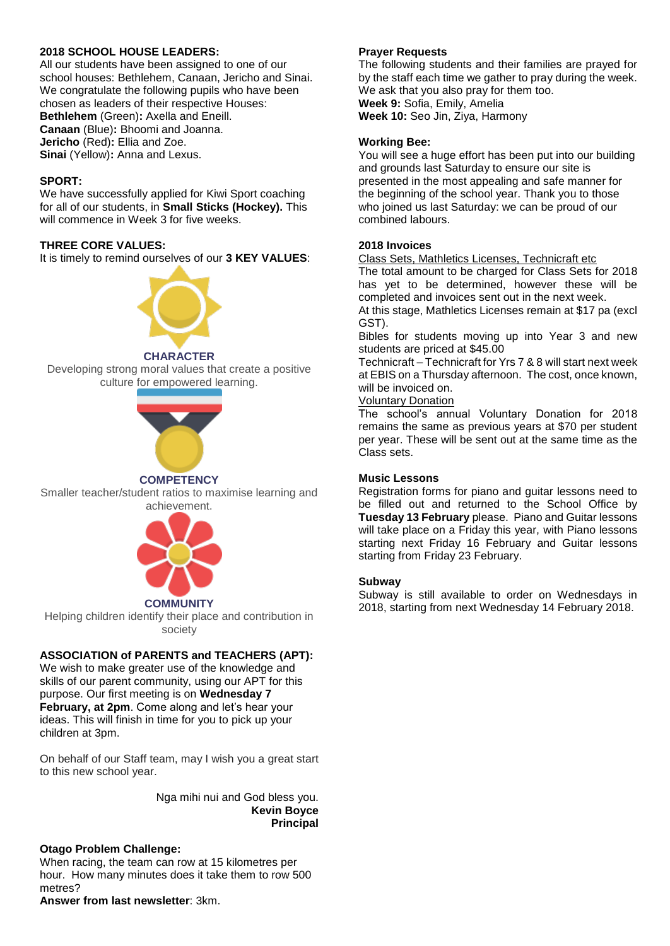## **2018 SCHOOL HOUSE LEADERS:**

All our students have been assigned to one of our school houses: Bethlehem, Canaan, Jericho and Sinai. We congratulate the following pupils who have been chosen as leaders of their respective Houses: **Bethlehem** (Green)**:** Axella and Eneill. **Canaan** (Blue)**:** Bhoomi and Joanna. **Jericho** (Red)**:** Ellia and Zoe. **Sinai** (Yellow)**:** Anna and Lexus.

## **SPORT:**

We have successfully applied for Kiwi Sport coaching for all of our students, in **Small Sticks (Hockey).** This will commence in Week 3 for five weeks.

## **THREE CORE VALUES:**

It is timely to remind ourselves of our **3 KEY VALUES**:



#### **CHARACTER**

Developing strong moral values that create a positive culture for empowered learning.



## **COMPETENCY**

Smaller teacher/student ratios to maximise learning and achievement.



Helping children identify their place and contribution in society

## **ASSOCIATION of PARENTS and TEACHERS (APT):**

We wish to make greater use of the knowledge and skills of our parent community, using our APT for this purpose. Our first meeting is on **Wednesday 7 February, at 2pm**. Come along and let's hear your ideas. This will finish in time for you to pick up your children at 3pm.

On behalf of our Staff team, may I wish you a great start to this new school year.

> Nga mihi nui and God bless you. **Kevin Boyce Principal**

## **Otago Problem Challenge:**

When racing, the team can row at 15 kilometres per hour. How many minutes does it take them to row 500 metres?

**Answer from last newsletter**: 3km.

## **Prayer Requests**

The following students and their families are prayed for by the staff each time we gather to pray during the week. We ask that you also pray for them too. **Week 9:** Sofia, Emily, Amelia

**Week 10:** Seo Jin, Ziya, Harmony

## **Working Bee:**

You will see a huge effort has been put into our building and grounds last Saturday to ensure our site is presented in the most appealing and safe manner for the beginning of the school year. Thank you to those who joined us last Saturday: we can be proud of our combined labours.

## **2018 Invoices**

Class Sets, Mathletics Licenses, Technicraft etc

The total amount to be charged for Class Sets for 2018 has yet to be determined, however these will be completed and invoices sent out in the next week.

At this stage, Mathletics Licenses remain at \$17 pa (excl GST).

Bibles for students moving up into Year 3 and new students are priced at \$45.00

Technicraft – Technicraft for Yrs 7 & 8 will start next week at EBIS on a Thursday afternoon. The cost, once known, will be invoiced on.

#### Voluntary Donation

The school's annual Voluntary Donation for 2018 remains the same as previous years at \$70 per student per year. These will be sent out at the same time as the Class sets.

#### **Music Lessons**

Registration forms for piano and guitar lessons need to be filled out and returned to the School Office by **Tuesday 13 February** please. Piano and Guitar lessons will take place on a Friday this year, with Piano lessons starting next Friday 16 February and Guitar lessons starting from Friday 23 February.

## **Subway**

Subway is still available to order on Wednesdays in 2018, starting from next Wednesday 14 February 2018.